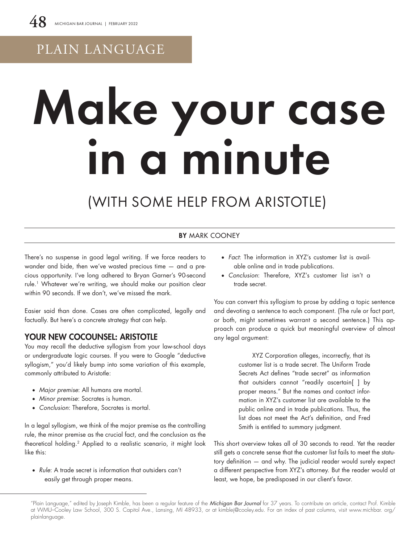# PLAIN LANGUAGE

# Make your case in a minute

# (WITH SOME HELP FROM ARISTOTLE)

## BY MARK COONEY

There's no suspense in good legal writing. If we force readers to wander and bide, then we've wasted precious time — and a precious opportunity. I've long adhered to Bryan Garner's 90-second rule.1 Whatever we're writing, we should make our position clear within 90 seconds. If we don't, we've missed the mark.

Easier said than done. Cases are often complicated, legally and factually. But here's a concrete strategy that can help.

# YOUR NEW COCOUNSEL: ARISTOTLE

You may recall the deductive syllogism from your law-school days or undergraduate logic courses. If you were to Google "deductive syllogism," you'd likely bump into some variation of this example, commonly attributed to Aristotle:

- • *Major premise*: All humans are mortal.
- • *Minor premise*: Socrates is human.
- Conclusion: Therefore, Socrates is mortal.

In a legal syllogism, we think of the major premise as the controlling rule, the minor premise as the crucial fact, and the conclusion as the theoretical holding.2 Applied to a realistic scenario, it might look like this:

• *Rule:* A trade secret is information that outsiders can't easily get through proper means.

- • *Fact*: The information in XYZ's customer list is available online and in trade publications.
- • *Conclusion*: Therefore, XYZ's customer list isn't a trade secret.

You can convert this syllogism to prose by adding a topic sentence and devoting a sentence to each component. (The rule or fact part, or both, might sometimes warrant a second sentence.) This approach can produce a quick but meaningful overview of almost any legal argument:

> XYZ Corporation alleges, incorrectly, that its customer list is a trade secret. The Uniform Trade Secrets Act defines "trade secret" as information that outsiders cannot "readily ascertain[ ] by proper means." But the names and contact information in XYZ's customer list are available to the public online and in trade publications. Thus, the list does not meet the Act's definition, and Fred Smith is entitled to summary judgment.

This short overview takes all of 30 seconds to read. Yet the reader still gets a concrete sense that the customer list fails to meet the statutory definition — and why. The judicial reader would surely expect a different perspective from XYZ's attorney. But the reader would at least, we hope, be predisposed in our client's favor.

<sup>&</sup>quot;Plain Language," edited by Joseph Kimble, has been a regular feature of the *Michigan Bar Journal* for 37 years. To contribute an article, contact Prof. Kimble at WMU–Cooley Law School, 300 S. Capitol Ave., Lansing, MI 48933, or at kimblej@cooley.edu. For an index of past columns, visit www.michbar. org/ plainlanguage.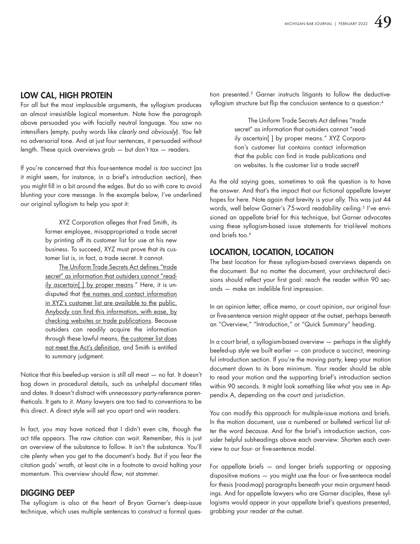# LOW CAL, HIGH PROTEIN

For all but the most implausible arguments, the syllogism produces an almost irresistible logical momentum. Note how the paragraph above persuaded you with facially neutral language. You saw no intensifiers (empty, pushy words like *clearly* and *obviously*). You felt no adversarial tone. And at just four sentences, it persuaded without length. These quick overviews grab — but don't tax — readers.

If you're concerned that this four-sentence model is *too* succinct (as it might seem, for instance, in a brief's introduction section), then you might fill in a bit around the edges. But do so with care to avoid blunting your core message. In the example below, I've underlined our original syllogism to help you spot it:

> XYZ Corporation alleges that Fred Smith, its former employee, misappropriated a trade secret by printing off its customer list for use at his new business. To succeed, XYZ must prove that its customer list is, in fact, a trade secret. It cannot.

> The Uniform Trade Secrets Act defines "trade secret" as information that outsiders cannot "readily ascertain[ ] by proper means." Here, it is undisputed that the names and contact information in XYZ's customer list are available to the public. Anybody can find this information, with ease, by checking websites or trade publications. Because outsiders can readily acquire the information through these lawful means, the customer list does not meet the Act's definition, and Smith is entitled to summary judgment.

Notice that this beefed-up version is still all meat — no fat. It doesn't bog down in procedural details, such as unhelpful document titles and dates. It doesn't distract with unnecessary party-reference parentheticals. It gets to it. Many lawyers are too tied to conventions to be this direct. A direct style will set you apart and win readers.

In fact, you may have noticed that I didn't even cite, though the act title appears. The raw citation can wait. Remember, this is just an overview of the substance to follow. It isn't the substance. You'll cite plenty when you get to the document's body. But if you fear the citation gods' wrath, at least cite in a footnote to avoid halting your momentum. This overview should *flow*, not stammer.

## DIGGING DEEP

The syllogism is also at the heart of Bryan Garner's deep-issue technique, which uses multiple sentences to construct a formal question presented.3 Garner instructs litigants to follow the deductivesyllogism structure but flip the conclusion sentence to a question:<sup>4</sup>

> The Uniform Trade Secrets Act defines "trade secret" as information that outsiders cannot "readily ascertain[ ] by proper means." XYZ Corporation's customer list contains contact information that the public can find in trade publications and on websites. Is the customer list a trade secret?

As the old saying goes, sometimes to ask the question is to have the answer. And that's the impact that our fictional appellate lawyer hopes for here. Note again that brevity is your ally. This was just 44 words, well below Garner's 75-word readability ceiling.<sup>5</sup> I've envisioned an appellate brief for this technique, but Garner advocates using these syllogism-based issue statements for trial-level motions and briefs too.<sup>6</sup>

## LOCATION, LOCATION, LOCATION

The best location for these syllogism-based overviews depends on the document. But no matter the document, your architectural decisions should reflect your first goal: reach the reader within 90 seconds — make an indelible first impression.

In an opinion letter, office memo, or court opinion, our original fouror five-sentence version might appear at the outset, perhaps beneath an "Overview," "Introduction," or "Quick Summary" heading.

In a court brief, a syllogism-based overview — perhaps in the slightly beefed-up style we built earlier — can produce a succinct, meaningful introduction section. If you're the moving party, keep your motion document down to its bare minimum. Your reader should be able to read your motion and the supporting brief's introduction section within 90 seconds. It might look something like what you see in Appendix A, depending on the court and jurisdiction.

You can modify this approach for multiple-issue motions and briefs. In the motion document, use a numbered or bulleted vertical list after the word *because*. And for the brief's introduction section, consider helpful subheadings above each overview. Shorten each overview to our four- or five-sentence model.

For appellate briefs — and longer briefs supporting or opposing dispositive motions — you might use the four- or five-sentence model for thesis (road-map) paragraphs beneath your main argument headings. And for appellate lawyers who are Garner disciples, these syllogisms would appear in your appellate brief's questions presented, grabbing your reader at the outset.